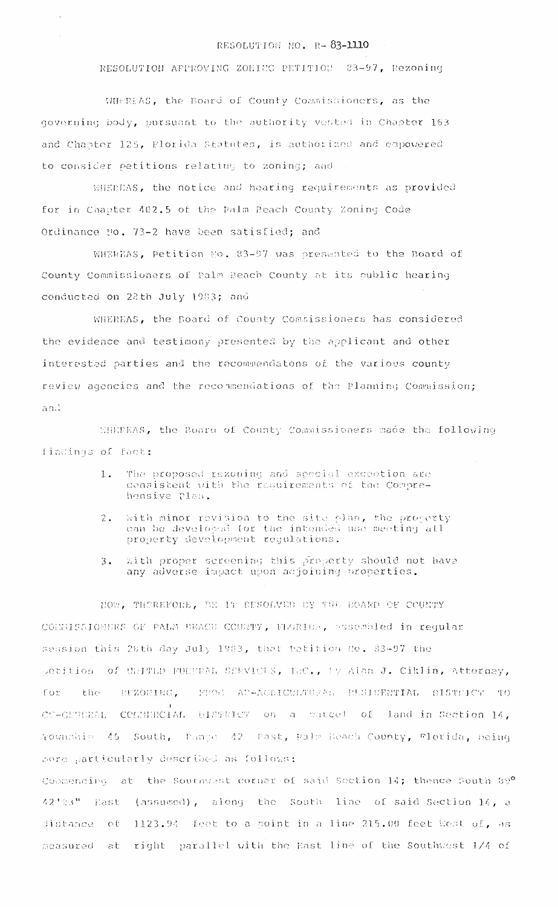## RESOLUTION NO. R-83-1110

RESOLUTION APPROVING ZONING PETITION 83-97, Rezoning

WHEREAS, the Board of County Commissioners, as the governing body, pursuant to the authority vested in Chapter 163 and Chapter 125, Elorida Statutes, is authorized and empowered to consider petitions relating to zoning; and

WHEEEAS, the notice and hearing requirements as provided for in Chapter 402.5 of the Palm Reach County Zoning Code Ordinance No. 73-2 have been satisfied; and

WHEREAS, Petition No. 83-97 was presented to the Board of County Commissioners of Palm Beach County at its public hearing conducted on 28th July 1983; and

WHEREAS, the Board of County Commissioners has considered the evidence and testimony presented by the applicant and other interested parties and the recommendatons of the various county review agencies and the recommendations of the Planning Commission; and

WHEFEAS, the Board of County Commissioners made the following findings of fact:

- The proposed rezoning and special exception are  $1.$ consistent with the requirements of the Comprehensive plan.
- With minor revision to the site plan, the property  $2.1$ can be developed for the intended use meeting all property development regulations.
- With proper screening this property should not have  $3.$ any adverse impact upon adjoining properties.

NOW, THEREFORE, BE IT EESOLVED BY THE BOARD OF COUNTY COMMISSIONERS OF PALM BEACH COURTY, FLORIDA, assembled in reqular session this 28th day July 1983, that Datition No. 83-97 the petition of UNITED FUNTEAL SERVICES, HRC., by Alan J. Ciklin, Attorney, the ETZONING. PROS AP-AGRICULTURAL RESIDENTIAL DISTOICT TO for CC-GETERAL COMMIRCIAL DISTRICT on a patcel of land in Section 14. Township 45 South, Pange 42 Past, Palm Beach County, Florida, being more particularly described as follows:

Commencing at the Southwest corner of said Section 14; thence South 89º 42'03" East (assumed), along the South line of said Section 14, a 1123.94 feet to a point in a line 215.00 feet West of, as distance of right parallel with the East line of the Southwest 1/4 of measured at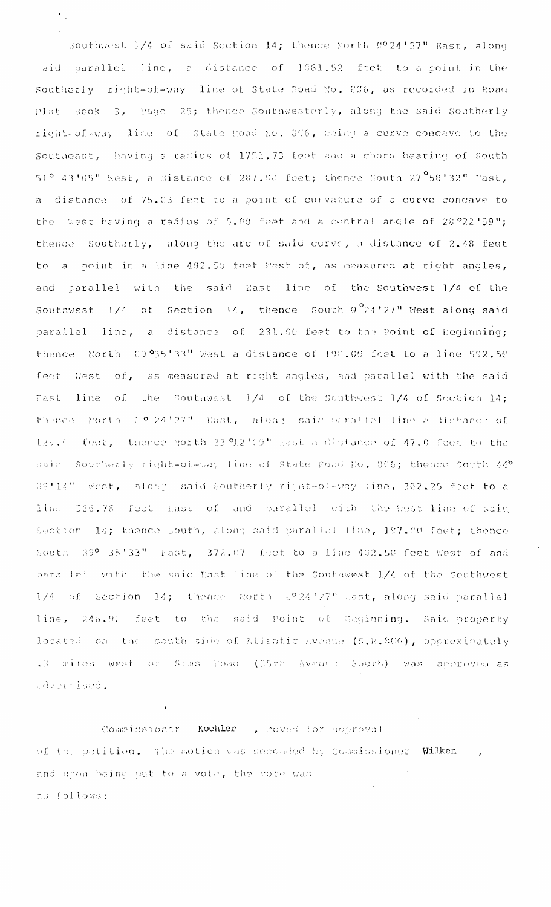southwest 1/4 of said Section 14; thence North 0024'27" East, along aid parallel line, a distance of 1061.52 feet to a point in the Southerly right-of-way line of State Road No. 236, as recorded in Road Plat Book 3, Page 25; thence Southwesterly, along the said Southerly right-of-way line of State Road No. 806, being a curve concave to the Southeast, having a radius of 1751.73 feet and a chord bearing of South  $51^{\circ}$  43'05" West, a distance of 287.00 feet; thence South 27 $^{\circ}$ 58'32" Hast, a distance of 75.03 feet to a point of curvature of a curve concave to the West having a radius of 5.00 feet and a central angle of 28.022.159"; thence Southerly, along the arc of said curve, a distance of 2.48 feet to a point in a line 402.50 feet West of, as measured at right angles, and parallel with the said East line of the Southwest 1/4 of the Southwest  $1/4$  of Section 14, thence South  $9^{\circ}24'27''$  West along said parallel line, a distance of 231.00 feet to the Point of Beginning; thence North 89.935'33" West a distance of 190.00 feet to a line 592.50 feet West of, as measured at right angles, and parallel with the said Fast line of the Southwest 1/4 of the Southwest 1/4 of Section 14; thence North 0.º 24'27" East, along said parallel line a dictance of 129.0 feet, thence Horth 23 912 59" Mast a distance of 47.0 feet to the said Southerly right-of-way line of State Poad No. 806; thence South 44º 08'14" west, along said Southerly right-of-way line, 302.25 feet to a line 556.76 feet East of and parallel with the west line of said Section 14; thence South, along said parallel line, 197.00 feet; thence South 39° 35'33" East, 372.07 feet to a line 402.50 feet West of and parallel with the said East line of the Southwest 1/4 of the Southwest 1/4 of Section 14; thence North 0°24'27" Hast, along said parallel line, 246.90 feet to the said Point of Degiuning. Said property located on the south side of Atlantic Avenue (S.R. 200), approximately .3 miles west of Sims Doad (55th Avenue: South) was approved as advertised.

Commissioner Koehler , noved for abbroval of the petition. The motion was seconded by Commissioner Wilken , and upon being put to a vote, the vote was as follows:

 $\mathbf{t}$  .